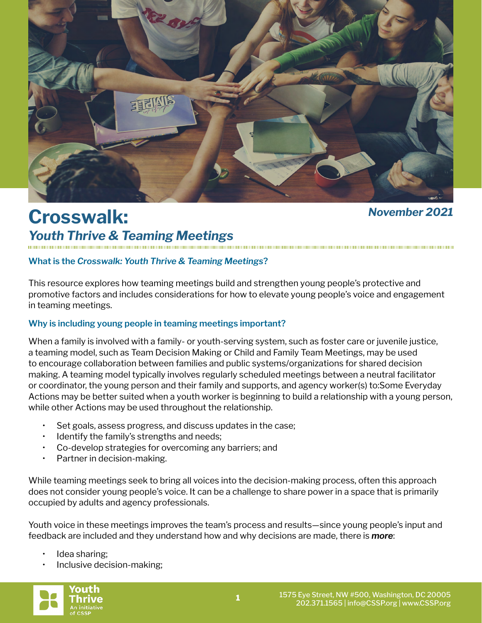

# **Crosswalk:**

# *November 2021*

*Youth Thrive & Teaming Meetings*

### **What is the** *Crosswalk: Youth Thrive & Teaming Meetings***?**

This resource explores how teaming meetings build and strengthen young people's protective and promotive factors and includes considerations for how to elevate young people's voice and engagement in teaming meetings.

#### **Why is including young people in teaming meetings important?**

When a family is involved with a family- or youth-serving system, such as foster care or juvenile justice, a teaming model, such as Team Decision Making or Child and Family Team Meetings, may be used to encourage collaboration between families and public systems/organizations for shared decision making. A teaming model typically involves regularly scheduled meetings between a neutral facilitator or coordinator, the young person and their family and supports, and agency worker(s) to:Some Everyday Actions may be better suited when a youth worker is beginning to build a relationship with a young person, while other Actions may be used throughout the relationship.

- Set goals, assess progress, and discuss updates in the case;
- Identify the family's strengths and needs;
- Co-develop strategies for overcoming any barriers; and
- Partner in decision-making.

While teaming meetings seek to bring all voices into the decision-making process, often this approach does not consider young people's voice. It can be a challenge to share power in a space that is primarily occupied by adults and agency professionals.

Youth voice in these meetings improves the team's process and results—since young people's input and feedback are included and they understand how and why decisions are made, there is *more*:

- Idea sharing;
- Inclusive decision-making;

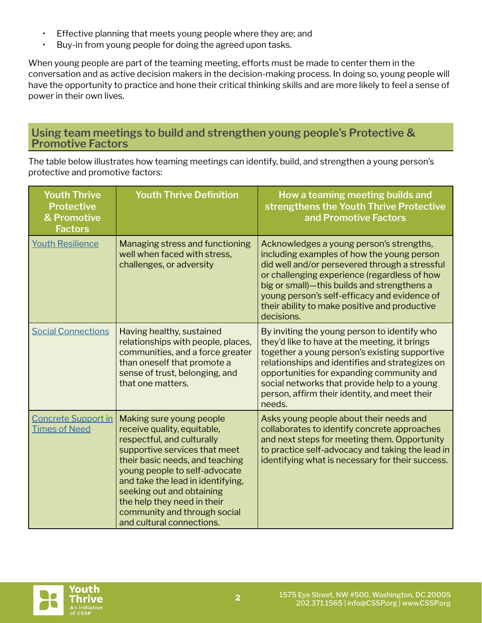- Effective planning that meets young people where they are; and
- Buy-in from young people for doing the agreed upon tasks.

When young people are part of the teaming meeting, efforts must be made to center them in the conversation and as active decision makers in the decision-making process. In doing so, young people will have the opportunity to practice and hone their critical thinking skills and are more likely to feel a sense of power in their own lives.

## **Using team meetings to build and strengthen young people's Protective & Promotive Factors**

The table below illustrates how teaming meetings can identify, build, and strengthen a young person's protective and promotive factors:

| <b>Youth Thrive</b><br><b>Protective</b><br>& Promotive<br><b>Factors</b> | <b>Youth Thrive Definition</b>                                                                                                                                                                                                                                                                                                                           | How a teaming meeting builds and<br>strengthens the Youth Thrive Protective<br>and Promotive Factors                                                                                                                                                                                                                                                      |
|---------------------------------------------------------------------------|----------------------------------------------------------------------------------------------------------------------------------------------------------------------------------------------------------------------------------------------------------------------------------------------------------------------------------------------------------|-----------------------------------------------------------------------------------------------------------------------------------------------------------------------------------------------------------------------------------------------------------------------------------------------------------------------------------------------------------|
| <b>Youth Resilience</b>                                                   | Managing stress and functioning<br>well when faced with stress,<br>challenges, or adversity                                                                                                                                                                                                                                                              | Acknowledges a young person's strengths,<br>including examples of how the young person<br>did well and/or persevered through a stressful<br>or challenging experience (regardless of how<br>big or small)-this builds and strengthens a<br>young person's self-efficacy and evidence of<br>their ability to make positive and productive<br>decisions.    |
| <b>Social Connections</b>                                                 | Having healthy, sustained<br>relationships with people, places,<br>communities, and a force greater<br>than oneself that promote a<br>sense of trust, belonging, and<br>that one matters.                                                                                                                                                                | By inviting the young person to identify who<br>they'd like to have at the meeting, it brings<br>together a young person's existing supportive<br>relationships and identifies and strategizes on<br>opportunities for expanding community and<br>social networks that provide help to a young<br>person, affirm their identity, and meet their<br>needs. |
| <b>Concrete Support in</b><br><b>Times of Need</b>                        | Making sure young people<br>receive quality, equitable,<br>respectful, and culturally<br>supportive services that meet<br>their basic needs, and teaching<br>young people to self-advocate<br>and take the lead in identifying,<br>seeking out and obtaining<br>the help they need in their<br>community and through social<br>and cultural connections. | Asks young people about their needs and<br>collaborates to identify concrete approaches<br>and next steps for meeting them. Opportunity<br>to practice self-advocacy and taking the lead in<br>identifying what is necessary for their success.                                                                                                           |

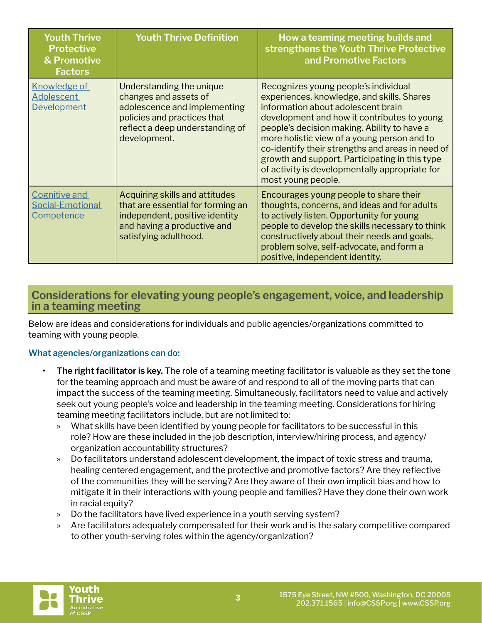| <b>Youth Thrive</b><br><b>Protective</b><br>& Promotive<br><b>Factors</b> | <b>Youth Thrive Definition</b>                                                                                                                                      | How a teaming meeting builds and<br>strengthens the Youth Thrive Protective<br>and Promotive Factors                                                                                                                                                                                                                                                                                                                                                |
|---------------------------------------------------------------------------|---------------------------------------------------------------------------------------------------------------------------------------------------------------------|-----------------------------------------------------------------------------------------------------------------------------------------------------------------------------------------------------------------------------------------------------------------------------------------------------------------------------------------------------------------------------------------------------------------------------------------------------|
| Knowledge of<br><b>Adolescent</b><br><b>Development</b>                   | Understanding the unique<br>changes and assets of<br>adolescence and implementing<br>policies and practices that<br>reflect a deep understanding of<br>development. | Recognizes young people's individual<br>experiences, knowledge, and skills. Shares<br>information about adolescent brain<br>development and how it contributes to young<br>people's decision making. Ability to have a<br>more holistic view of a young person and to<br>co-identify their strengths and areas in need of<br>growth and support. Participating in this type<br>of activity is developmentally appropriate for<br>most young people. |
| Cognitive and<br>Social-Emotional<br>Competence                           | Acquiring skills and attitudes<br>that are essential for forming an<br>independent, positive identity<br>and having a productive and<br>satisfying adulthood.       | Encourages young people to share their<br>thoughts, concerns, and ideas and for adults<br>to actively listen. Opportunity for young<br>people to develop the skills necessary to think<br>constructively about their needs and goals,<br>problem solve, self-advocate, and form a<br>positive, independent identity.                                                                                                                                |

# **Considerations for elevating young people's engagement, voice, and leadership in a teaming meeting**

Below are ideas and considerations for individuals and public agencies/organizations committed to teaming with young people.

### **What agencies/organizations can do:**

- **• The right facilitator is key.** The role of a teaming meeting facilitator is valuable as they set the tone for the teaming approach and must be aware of and respond to all of the moving parts that can impact the success of the teaming meeting. Simultaneously, facilitators need to value and actively seek out young people's voice and leadership in the teaming meeting. Considerations for hiring teaming meeting facilitators include, but are not limited to:
	- » What skills have been identified by young people for facilitators to be successful in this role? How are these included in the job description, interview/hiring process, and agency/ organization accountability structures?
	- » Do facilitators understand adolescent development, the impact of toxic stress and trauma, healing centered engagement, and the protective and promotive factors? Are they reflective of the communities they will be serving? Are they aware of their own implicit bias and how to mitigate it in their interactions with young people and families? Have they done their own work in racial equity?
	- » Do the facilitators have lived experience in a youth serving system?
	- » Are facilitators adequately compensated for their work and is the salary competitive compared to other youth-serving roles within the agency/organization?

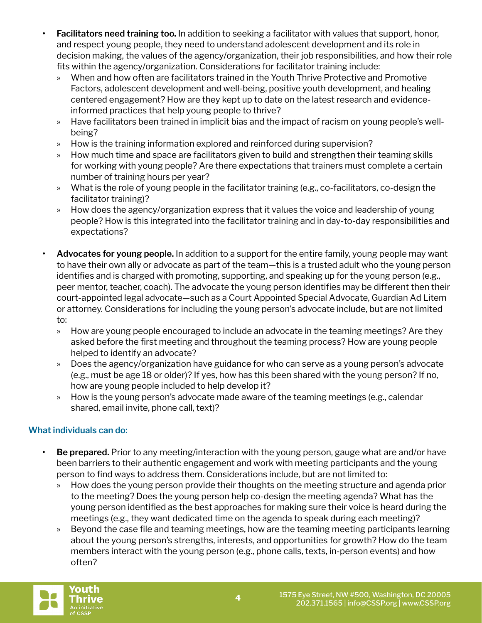- **• Facilitators need training too.** In addition to seeking a facilitator with values that support, honor, and respect young people, they need to understand adolescent development and its role in decision making, the values of the agency/organization, their job responsibilities, and how their role fits within the agency/organization. Considerations for facilitator training include:
	- » When and how often are facilitators trained in the Youth Thrive Protective and Promotive Factors, adolescent development and well-being, positive youth development, and healing centered engagement? How are they kept up to date on the latest research and evidenceinformed practices that help young people to thrive?
	- » Have facilitators been trained in implicit bias and the impact of racism on young people's wellbeing?
	- » How is the training information explored and reinforced during supervision?
	- » How much time and space are facilitators given to build and strengthen their teaming skills for working with young people? Are there expectations that trainers must complete a certain number of training hours per year?
	- » What is the role of young people in the facilitator training (e.g., co-facilitators, co-design the facilitator training)?
	- » How does the agency/organization express that it values the voice and leadership of young people? How is this integrated into the facilitator training and in day-to-day responsibilities and expectations?
- **• Advocates for young people.** In addition to a support for the entire family, young people may want to have their own ally or advocate as part of the team—this is a trusted adult who the young person identifies and is charged with promoting, supporting, and speaking up for the young person (e.g., peer mentor, teacher, coach). The advocate the young person identifies may be different then their court-appointed legal advocate—such as a Court Appointed Special Advocate, Guardian Ad Litem or attorney. Considerations for including the young person's advocate include, but are not limited to:
	- » How are young people encouraged to include an advocate in the teaming meetings? Are they asked before the first meeting and throughout the teaming process? How are young people helped to identify an advocate?
	- » Does the agency/organization have guidance for who can serve as a young person's advocate (e.g., must be age 18 or older)? If yes, how has this been shared with the young person? If no, how are young people included to help develop it?
	- » How is the young person's advocate made aware of the teaming meetings (e.g., calendar shared, email invite, phone call, text)?

## **What individuals can do:**

- **• Be prepared.** Prior to any meeting/interaction with the young person, gauge what are and/or have been barriers to their authentic engagement and work with meeting participants and the young person to find ways to address them. Considerations include, but are not limited to:
	- » How does the young person provide their thoughts on the meeting structure and agenda prior to the meeting? Does the young person help co-design the meeting agenda? What has the young person identified as the best approaches for making sure their voice is heard during the meetings (e.g., they want dedicated time on the agenda to speak during each meeting)?
	- » Beyond the case file and teaming meetings, how are the teaming meeting participants learning about the young person's strengths, interests, and opportunities for growth? How do the team members interact with the young person (e.g., phone calls, texts, in-person events) and how often?

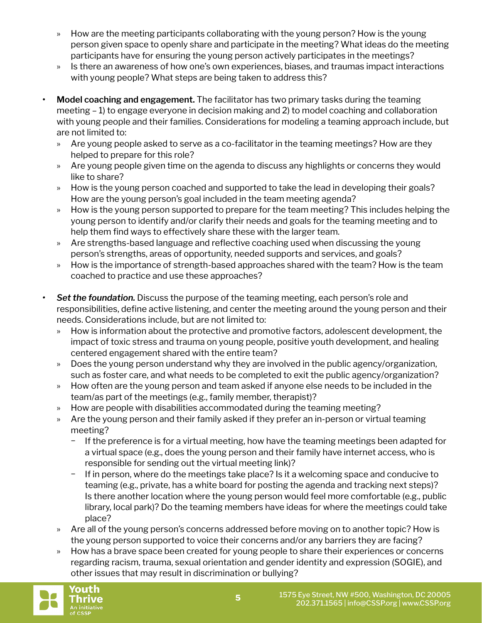- » How are the meeting participants collaborating with the young person? How is the young person given space to openly share and participate in the meeting? What ideas do the meeting participants have for ensuring the young person actively participates in the meetings?
- » Is there an awareness of how one's own experiences, biases, and traumas impact interactions with young people? What steps are being taken to address this?
- **• Model coaching and engagement.** The facilitator has two primary tasks during the teaming meeting – 1) to engage everyone in decision making and 2) to model coaching and collaboration with young people and their families. Considerations for modeling a teaming approach include, but are not limited to:
	- » Are young people asked to serve as a co-facilitator in the teaming meetings? How are they helped to prepare for this role?
	- » Are young people given time on the agenda to discuss any highlights or concerns they would like to share?
	- » How is the young person coached and supported to take the lead in developing their goals? How are the young person's goal included in the team meeting agenda?
	- » How is the young person supported to prepare for the team meeting? This includes helping the young person to identify and/or clarify their needs and goals for the teaming meeting and to help them find ways to effectively share these with the larger team.
	- » Are strengths-based language and reflective coaching used when discussing the young person's strengths, areas of opportunity, needed supports and services, and goals?
	- » How is the importance of strength-based approaches shared with the team? How is the team coached to practice and use these approaches?
- **•** Set the foundation. Discuss the purpose of the teaming meeting, each person's role and responsibilities, define active listening, and center the meeting around the young person and their needs. Considerations include, but are not limited to:
	- » How is information about the protective and promotive factors, adolescent development, the impact of toxic stress and trauma on young people, positive youth development, and healing centered engagement shared with the entire team?
	- » Does the young person understand why they are involved in the public agency/organization, such as foster care, and what needs to be completed to exit the public agency/organization?
	- » How often are the young person and team asked if anyone else needs to be included in the team/as part of the meetings (e.g., family member, therapist)?
	- » How are people with disabilities accommodated during the teaming meeting?
	- » Are the young person and their family asked if they prefer an in-person or virtual teaming meeting?
		- − If the preference is for a virtual meeting, how have the teaming meetings been adapted for a virtual space (e.g., does the young person and their family have internet access, who is responsible for sending out the virtual meeting link)?
		- − If in person, where do the meetings take place? Is it a welcoming space and conducive to teaming (e.g., private, has a white board for posting the agenda and tracking next steps)? Is there another location where the young person would feel more comfortable (e.g., public library, local park)? Do the teaming members have ideas for where the meetings could take place?
	- » Are all of the young person's concerns addressed before moving on to another topic? How is the young person supported to voice their concerns and/or any barriers they are facing?
	- » How has a brave space been created for young people to share their experiences or concerns regarding racism, trauma, sexual orientation and gender identity and expression (SOGIE), and other issues that may result in discrimination or bullying?